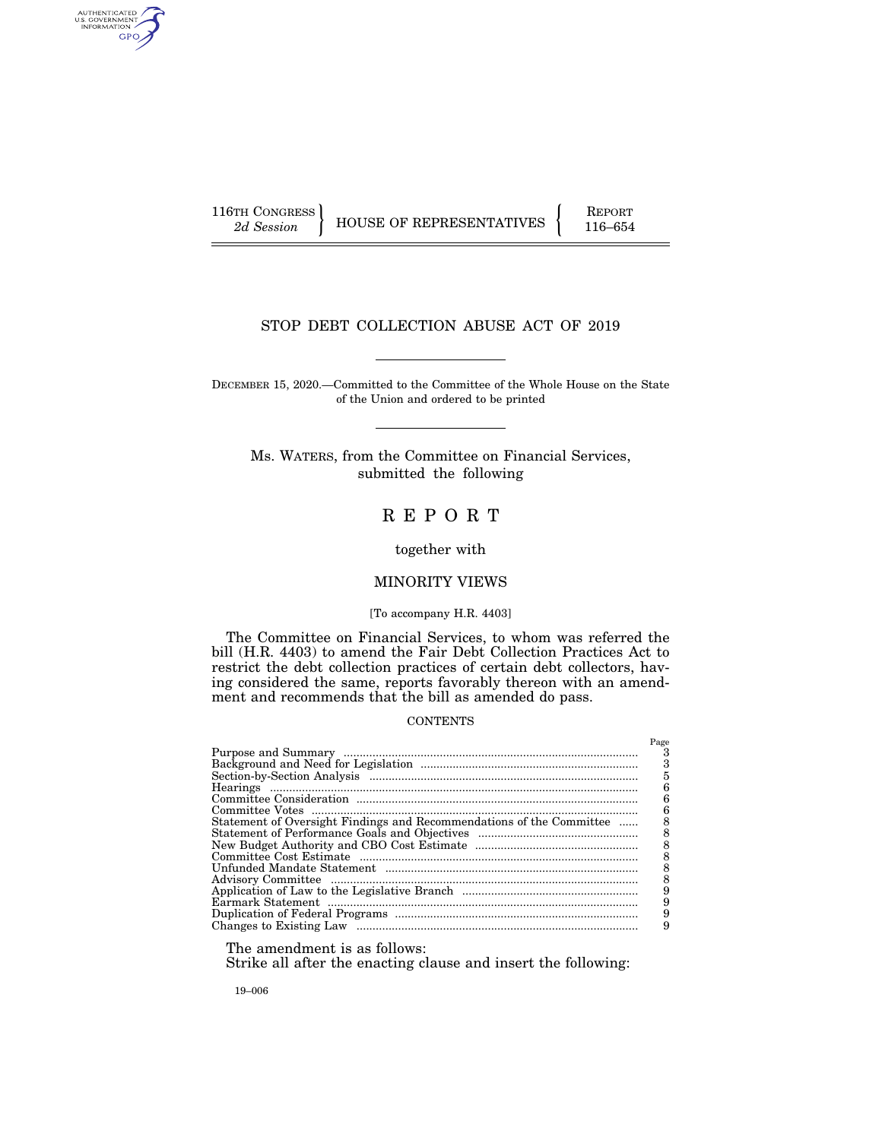AUTHENTICATED<br>U.S. GOVERNMENT<br>INFORMATION GPO

116TH CONGRESS HOUSE OF REPRESENTATIVES FEPORT 116–654

# STOP DEBT COLLECTION ABUSE ACT OF 2019

DECEMBER 15, 2020.—Committed to the Committee of the Whole House on the State of the Union and ordered to be printed

Ms. WATERS, from the Committee on Financial Services, submitted the following

# R E P O R T

together with

# MINORITY VIEWS

### [To accompany H.R. 4403]

The Committee on Financial Services, to whom was referred the bill (H.R. 4403) to amend the Fair Debt Collection Practices Act to restrict the debt collection practices of certain debt collectors, having considered the same, reports favorably thereon with an amendment and recommends that the bill as amended do pass.

## CONTENTS

|                                                                      | Page |
|----------------------------------------------------------------------|------|
|                                                                      |      |
|                                                                      | 3    |
|                                                                      | 5    |
|                                                                      | 6    |
|                                                                      | 6    |
|                                                                      | 6    |
| Statement of Oversight Findings and Recommendations of the Committee | 8    |
|                                                                      | 8    |
|                                                                      | 8    |
|                                                                      | 8    |
|                                                                      | 8    |
|                                                                      | 8    |
|                                                                      | 9    |
|                                                                      |      |
|                                                                      | 9    |
|                                                                      | 9    |

# The amendment is as follows:

Strike all after the enacting clause and insert the following:

19–006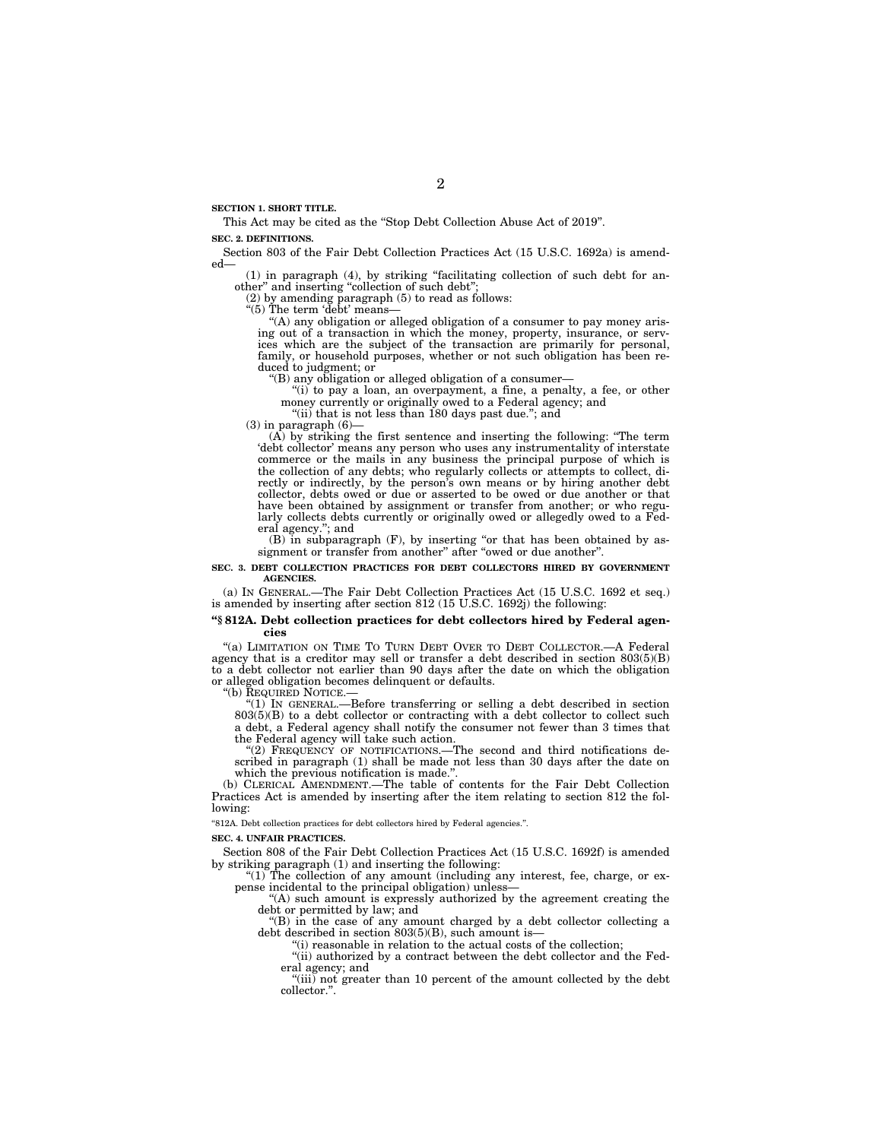**SECTION 1. SHORT TITLE.** 

This Act may be cited as the "Stop Debt Collection Abuse Act of 2019".

#### **SEC. 2. DEFINITIONS.**

Section 803 of the Fair Debt Collection Practices Act (15 U.S.C. 1692a) is amended—

(1) in paragraph (4), by striking ''facilitating collection of such debt for another'' and inserting ''collection of such debt'';

(2) by amending paragraph (5) to read as follows:

"(5) The term 'debt' means

''(A) any obligation or alleged obligation of a consumer to pay money arising out of a transaction in which the money, property, insurance, or services which are the subject of the transaction are primarily for personal, family, or household purposes, whether or not such obligation has been reduced to judgment; or

''(B) any obligation or alleged obligation of a consumer—

"(i) to pay a loan, an overpayment, a fine, a penalty, a fee, or other money currently or originally owed to a Federal agency; and

"(ii) that is not less than 180 days past due."; and

 $(3)$  in paragraph  $(6)$ -

(A) by striking the first sentence and inserting the following: ''The term 'debt collector' means any person who uses any instrumentality of interstate commerce or the mails in any business the principal purpose of which is the collection of any debts; who regularly collects or attempts to collect, directly or indirectly, by the person's own means or by hiring another debt collector, debts owed or due or asserted to be owed or due another or that have been obtained by assignment or transfer from another; or who regularly collects debts currently or originally owed or allegedly owed to a Federal agency.''; and

(B) in subparagraph (F), by inserting "or that has been obtained by assignment or transfer from another" after "owed or due another".

#### **SEC. 3. DEBT COLLECTION PRACTICES FOR DEBT COLLECTORS HIRED BY GOVERNMENT AGENCIES.**

(a) IN GENERAL.—The Fair Debt Collection Practices Act (15 U.S.C. 1692 et seq.) is amended by inserting after section 812 (15 U.S.C. 1692j) the following:

#### **''§ 812A. Debt collection practices for debt collectors hired by Federal agencies**

''(a) LIMITATION ON TIME TO TURN DEBT OVER TO DEBT COLLECTOR.—A Federal agency that is a creditor may sell or transfer a debt described in section 803(5)(B) to a debt collector not earlier than 90 days after the date on which the obligation or alleged obligation becomes delinquent or defaults.

''(b) REQUIRED NOTICE.—

''(1) IN GENERAL.—Before transferring or selling a debt described in section  $803(5)(B)$  to a debt collector or contracting with a debt collector to collect such a debt, a Federal agency shall notify the consumer not fewer than 3 times that the Federal agency will take such action.

''(2) FREQUENCY OF NOTIFICATIONS.—The second and third notifications described in paragraph (1) shall be made not less than 30 days after the date on which the previous notification is made.'

(b) CLERICAL AMENDMENT.—The table of contents for the Fair Debt Collection Practices Act is amended by inserting after the item relating to section 812 the following:

''812A. Debt collection practices for debt collectors hired by Federal agencies.''.

#### **SEC. 4. UNFAIR PRACTICES.**

Section 808 of the Fair Debt Collection Practices Act (15 U.S.C. 1692f) is amended by striking paragraph (1) and inserting the following:

" $(1)$  The collection of any amount (including any interest, fee, charge, or expense incidental to the principal obligation) unless—

''(A) such amount is expressly authorized by the agreement creating the debt or permitted by law; and

''(B) in the case of any amount charged by a debt collector collecting a debt described in section 803(5)(B), such amount is—

''(i) reasonable in relation to the actual costs of the collection;

''(ii) authorized by a contract between the debt collector and the Federal agency; and

"(iii) not greater than 10 percent of the amount collected by the debt collector.''.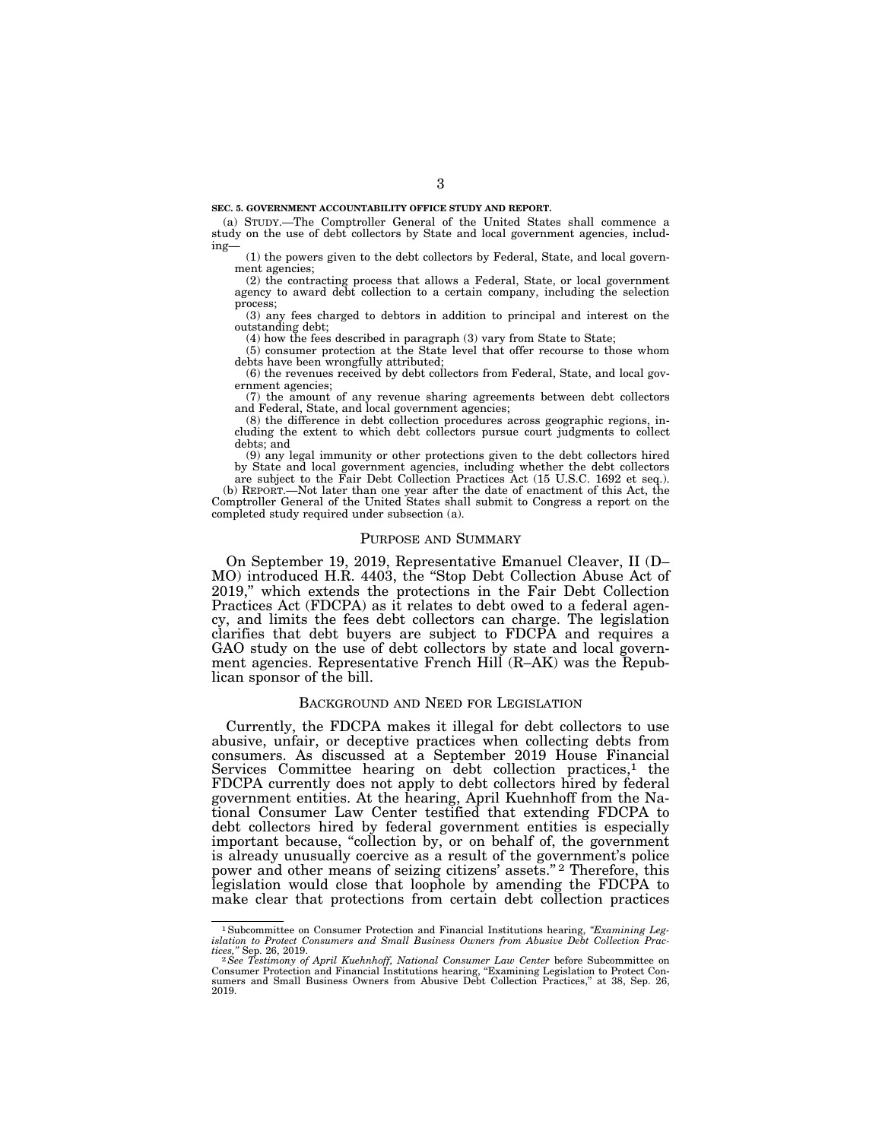**SEC. 5. GOVERNMENT ACCOUNTABILITY OFFICE STUDY AND REPORT.** 

(a) STUDY.—The Comptroller General of the United States shall commence a study on the use of debt collectors by State and local government agencies, including—

(1) the powers given to the debt collectors by Federal, State, and local government agencies;

(2) the contracting process that allows a Federal, State, or local government agency to award debt collection to a certain company, including the selection process;

(3) any fees charged to debtors in addition to principal and interest on the outstanding debt;

(4) how the fees described in paragraph (3) vary from State to State;

(5) consumer protection at the State level that offer recourse to those whom debts have been wrongfully attributed;

(6) the revenues received by debt collectors from Federal, State, and local government agencies;

(7) the amount of any revenue sharing agreements between debt collectors and Federal, State, and local government agencies;

(8) the difference in debt collection procedures across geographic regions, including the extent to which debt collectors pursue court judgments to collect debts; and

(9) any legal immunity or other protections given to the debt collectors hired by State and local government agencies, including whether the debt collectors

are subject to the Fair Debt Collection Practices Act (15 U.S.C. 1692 et seq.). (b) REPORT.—Not later than one year after the date of enactment of this Act, the Comptroller General of the United States shall submit to Congress a report on the completed study required under subsection (a).

### PURPOSE AND SUMMARY

On September 19, 2019, Representative Emanuel Cleaver, II (D– MO) introduced H.R. 4403, the ''Stop Debt Collection Abuse Act of 2019,'' which extends the protections in the Fair Debt Collection Practices Act (FDCPA) as it relates to debt owed to a federal agency, and limits the fees debt collectors can charge. The legislation clarifies that debt buyers are subject to FDCPA and requires a GAO study on the use of debt collectors by state and local government agencies. Representative French Hill (R–AK) was the Republican sponsor of the bill.

### BACKGROUND AND NEED FOR LEGISLATION

Currently, the FDCPA makes it illegal for debt collectors to use abusive, unfair, or deceptive practices when collecting debts from consumers. As discussed at a September 2019 House Financial Services Committee hearing on debt collection practices, $<sup>1</sup>$  the</sup> FDCPA currently does not apply to debt collectors hired by federal government entities. At the hearing, April Kuehnhoff from the National Consumer Law Center testified that extending FDCPA to debt collectors hired by federal government entities is especially important because, ''collection by, or on behalf of, the government is already unusually coercive as a result of the government's police power and other means of seizing citizens' assets."<sup>2</sup> Therefore, this legislation would close that loophole by amending the FDCPA to make clear that protections from certain debt collection practices

<sup>1</sup>Subcommittee on Consumer Protection and Financial Institutions hearing, *''Examining Legislation to Protect Consumers and Small Business Owners from Abusive Debt Collection Practices,"* Sep. 26, 2019.<br><sup>2</sup>See Testimony of April Kuehnhoff, National Consumer Law Center before Subcommittee on<br><sup>2</sup>See Testimony of April Kuehnhoff, National Consumer Law Center before Subcommittee on

Consumer Protection and Financial Institutions hearing, ''Examining Legislation to Protect Con-sumers and Small Business Owners from Abusive Debt Collection Practices,'' at 38, Sep. 26, 2019.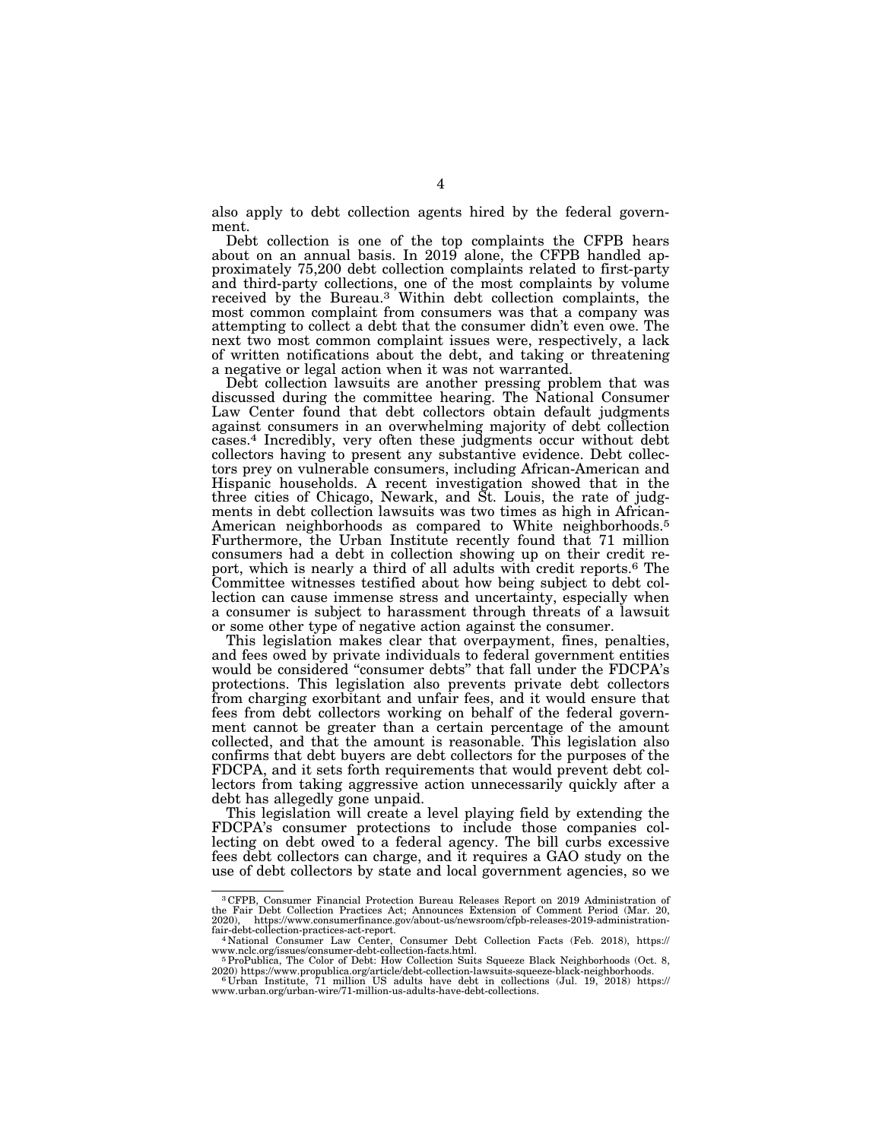also apply to debt collection agents hired by the federal government.

Debt collection is one of the top complaints the CFPB hears about on an annual basis. In 2019 alone, the CFPB handled approximately 75,200 debt collection complaints related to first-party and third-party collections, one of the most complaints by volume received by the Bureau.<sup>3</sup> Within debt collection complaints, the most common complaint from consumers was that a company was attempting to collect a debt that the consumer didn't even owe. The next two most common complaint issues were, respectively, a lack of written notifications about the debt, and taking or threatening a negative or legal action when it was not warranted.

Debt collection lawsuits are another pressing problem that was discussed during the committee hearing. The National Consumer Law Center found that debt collectors obtain default judgments against consumers in an overwhelming majority of debt collection cases.4 Incredibly, very often these judgments occur without debt collectors having to present any substantive evidence. Debt collectors prey on vulnerable consumers, including African-American and Hispanic households. A recent investigation showed that in the three cities of Chicago, Newark, and St. Louis, the rate of judgments in debt collection lawsuits was two times as high in African-American neighborhoods as compared to White neighborhoods.<sup>5</sup> Furthermore, the Urban Institute recently found that 71 million consumers had a debt in collection showing up on their credit report, which is nearly a third of all adults with credit reports.6 The Committee witnesses testified about how being subject to debt collection can cause immense stress and uncertainty, especially when a consumer is subject to harassment through threats of a lawsuit or some other type of negative action against the consumer.

This legislation makes clear that overpayment, fines, penalties, and fees owed by private individuals to federal government entities would be considered ''consumer debts'' that fall under the FDCPA's protections. This legislation also prevents private debt collectors from charging exorbitant and unfair fees, and it would ensure that fees from debt collectors working on behalf of the federal government cannot be greater than a certain percentage of the amount collected, and that the amount is reasonable. This legislation also confirms that debt buyers are debt collectors for the purposes of the FDCPA, and it sets forth requirements that would prevent debt collectors from taking aggressive action unnecessarily quickly after a debt has allegedly gone unpaid.

This legislation will create a level playing field by extending the FDCPA's consumer protections to include those companies collecting on debt owed to a federal agency. The bill curbs excessive fees debt collectors can charge, and it requires a GAO study on the use of debt collectors by state and local government agencies, so we

<sup>3</sup> CFPB, Consumer Financial Protection Bureau Releases Report on 2019 Administration of the Fair Debt Collection Practices Act; Announces Extension of Comment Period (Mar. 20, 2020), https://www.consumerfinance.gov/about-us/newsroom/cfpb-releases-2019-administrationfair-debt-collection-practices-act-report. 4 National Consumer Law Center, Consumer Debt Collection Facts (Feb. 2018), https://

www.nclc.org/issues/consumer-debt-collection-facts.html. 5ProPublica, The Color of Debt: How Collection Suits Squeeze Black Neighborhoods (Oct. 8,

<sup>2020)</sup> https://www.propublica.org/article/debt-collection-lawsuits-squeeze-black-neighborhoods.<br>" Urban Institute, 71 million US adults have debt in collections (Jul. 19, 2018) https://<br>www.urban.org/urban-wire/71-million-u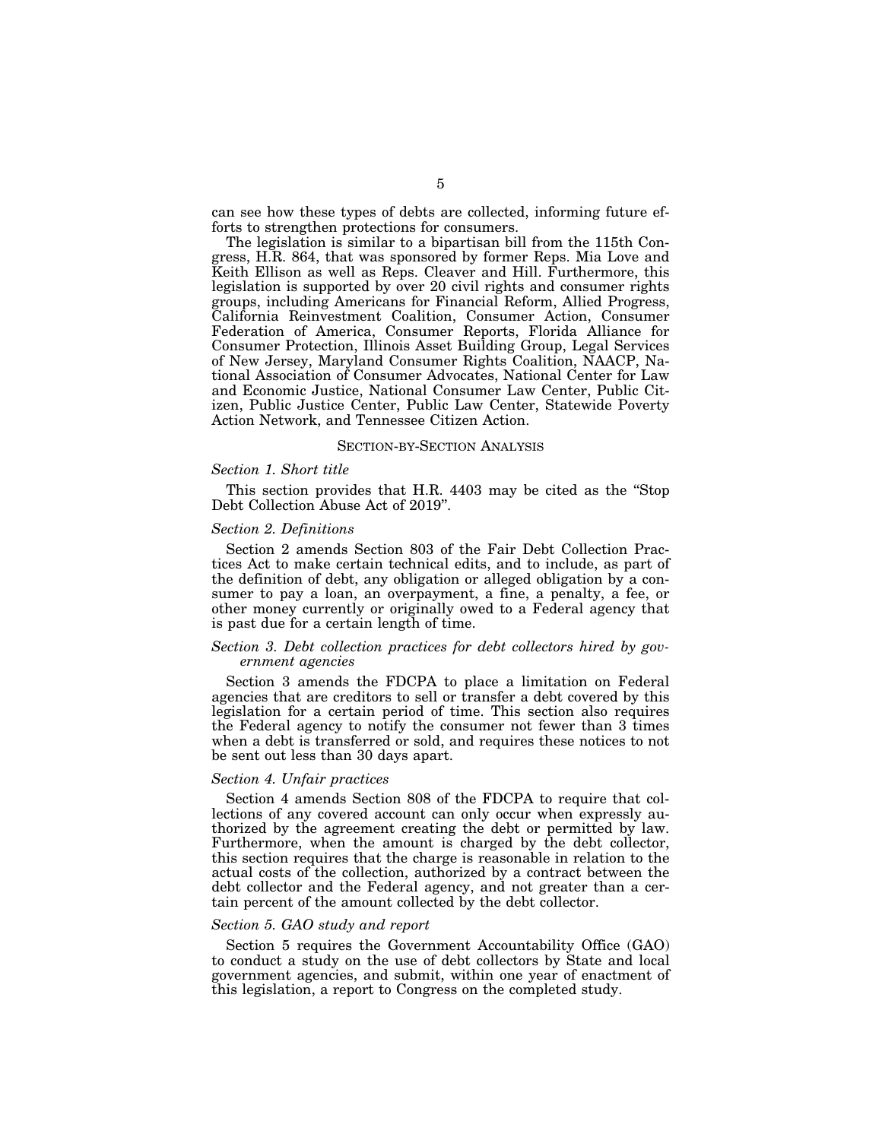can see how these types of debts are collected, informing future efforts to strengthen protections for consumers.

The legislation is similar to a bipartisan bill from the 115th Congress, H.R. 864, that was sponsored by former Reps. Mia Love and Keith Ellison as well as Reps. Cleaver and Hill. Furthermore, this legislation is supported by over 20 civil rights and consumer rights groups, including Americans for Financial Reform, Allied Progress, California Reinvestment Coalition, Consumer Action, Consumer Federation of America, Consumer Reports, Florida Alliance for Consumer Protection, Illinois Asset Building Group, Legal Services of New Jersey, Maryland Consumer Rights Coalition, NAACP, National Association of Consumer Advocates, National Center for Law and Economic Justice, National Consumer Law Center, Public Citizen, Public Justice Center, Public Law Center, Statewide Poverty Action Network, and Tennessee Citizen Action.

#### SECTION-BY-SECTION ANALYSIS

#### *Section 1. Short title*

This section provides that H.R. 4403 may be cited as the "Stop Debt Collection Abuse Act of 2019''.

#### *Section 2. Definitions*

Section 2 amends Section 803 of the Fair Debt Collection Practices Act to make certain technical edits, and to include, as part of the definition of debt, any obligation or alleged obligation by a consumer to pay a loan, an overpayment, a fine, a penalty, a fee, or other money currently or originally owed to a Federal agency that is past due for a certain length of time.

### *Section 3. Debt collection practices for debt collectors hired by government agencies*

Section 3 amends the FDCPA to place a limitation on Federal agencies that are creditors to sell or transfer a debt covered by this legislation for a certain period of time. This section also requires the Federal agency to notify the consumer not fewer than 3 times when a debt is transferred or sold, and requires these notices to not be sent out less than 30 days apart.

#### *Section 4. Unfair practices*

Section 4 amends Section 808 of the FDCPA to require that collections of any covered account can only occur when expressly authorized by the agreement creating the debt or permitted by law. Furthermore, when the amount is charged by the debt collector, this section requires that the charge is reasonable in relation to the actual costs of the collection, authorized by a contract between the debt collector and the Federal agency, and not greater than a certain percent of the amount collected by the debt collector.

#### *Section 5. GAO study and report*

Section 5 requires the Government Accountability Office (GAO) to conduct a study on the use of debt collectors by State and local government agencies, and submit, within one year of enactment of this legislation, a report to Congress on the completed study.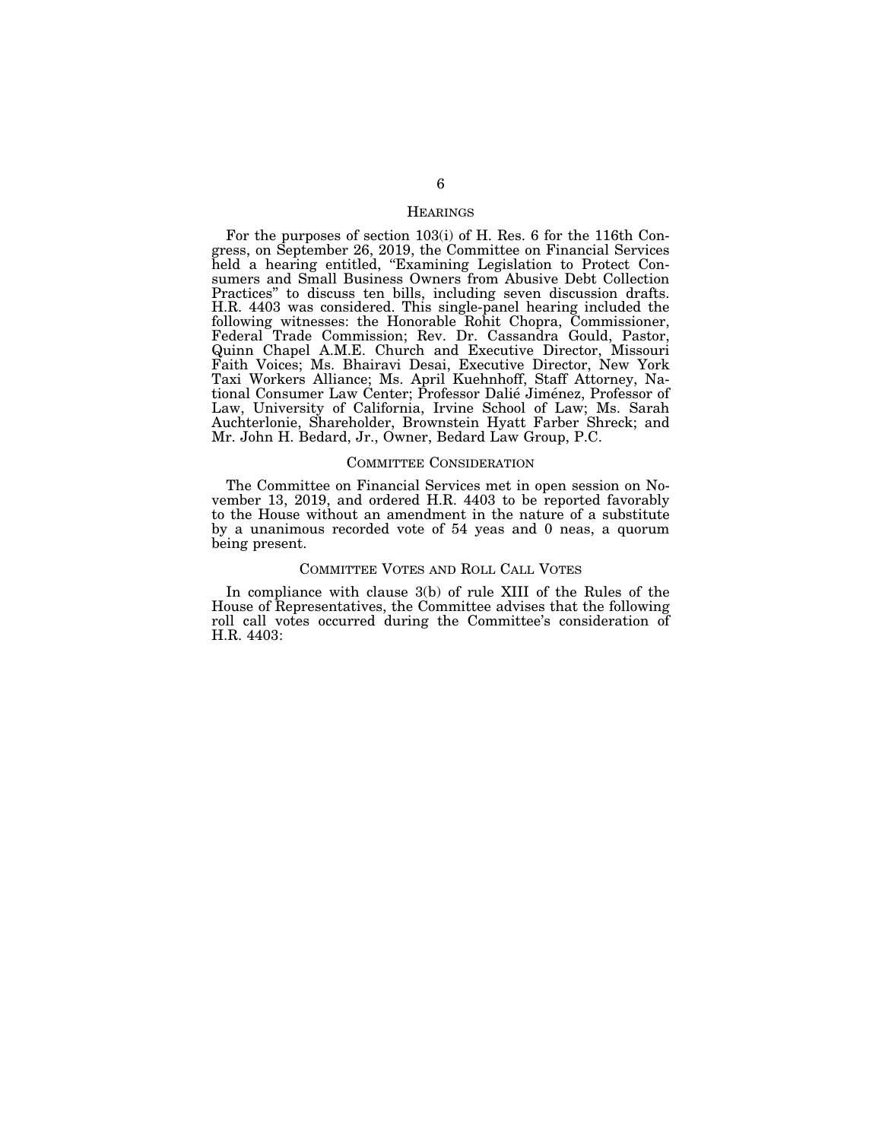## **HEARINGS**

For the purposes of section 103(i) of H. Res. 6 for the 116th Congress, on September 26, 2019, the Committee on Financial Services held a hearing entitled, ''Examining Legislation to Protect Consumers and Small Business Owners from Abusive Debt Collection Practices'' to discuss ten bills, including seven discussion drafts. H.R. 4403 was considered. This single-panel hearing included the following witnesses: the Honorable Rohit Chopra, Commissioner, Federal Trade Commission; Rev. Dr. Cassandra Gould, Pastor, Quinn Chapel A.M.E. Church and Executive Director, Missouri Faith Voices; Ms. Bhairavi Desai, Executive Director, New York Taxi Workers Alliance; Ms. April Kuehnhoff, Staff Attorney, National Consumer Law Center; Professor Dalié Jiménez, Professor of Law, University of California, Irvine School of Law; Ms. Sarah Auchterlonie, Shareholder, Brownstein Hyatt Farber Shreck; and Mr. John H. Bedard, Jr., Owner, Bedard Law Group, P.C.

#### COMMITTEE CONSIDERATION

The Committee on Financial Services met in open session on November 13, 2019, and ordered H.R. 4403 to be reported favorably to the House without an amendment in the nature of a substitute by a unanimous recorded vote of 54 yeas and 0 neas, a quorum being present.

#### COMMITTEE VOTES AND ROLL CALL VOTES

In compliance with clause 3(b) of rule XIII of the Rules of the House of Representatives, the Committee advises that the following roll call votes occurred during the Committee's consideration of H.R. 4403: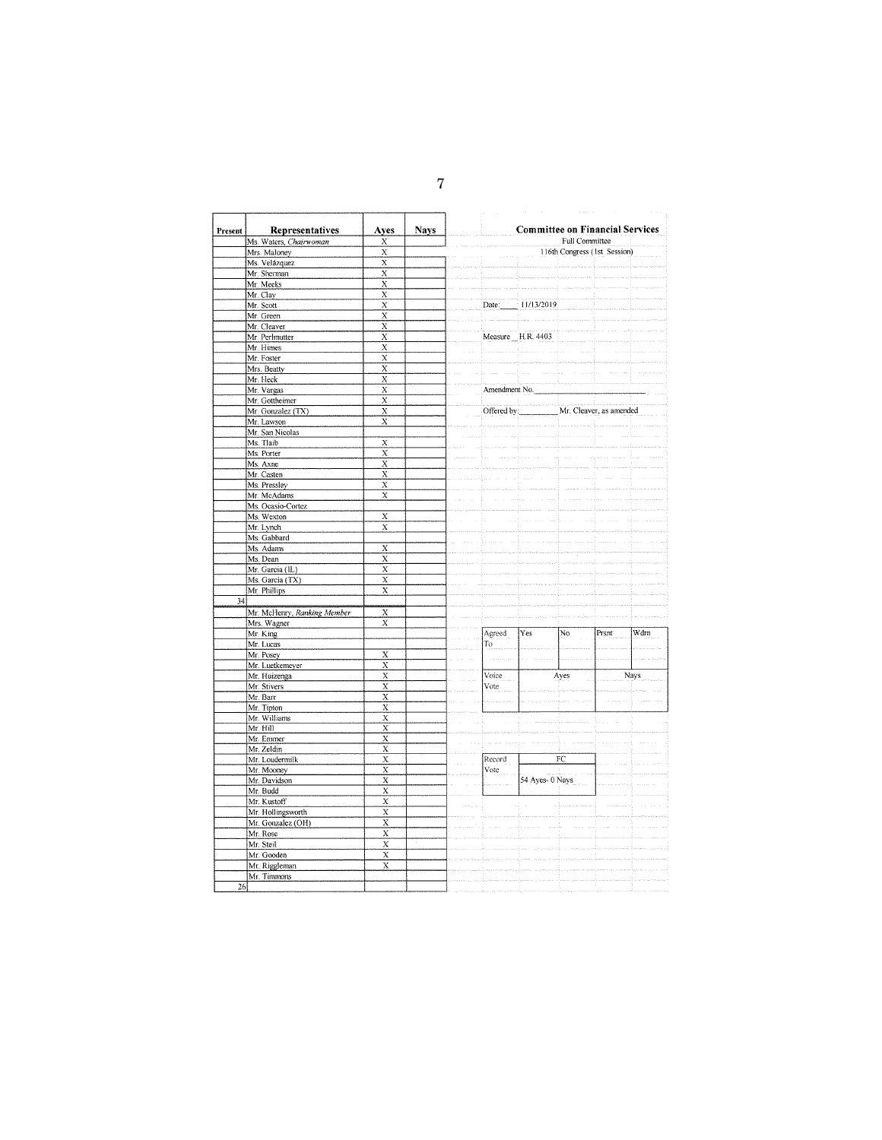| Present | Representatives                            | Ayes                         | <b>Nays</b> |    |               | <b>Committee on Financial Services</b> |                              |       |      |
|---------|--------------------------------------------|------------------------------|-------------|----|---------------|----------------------------------------|------------------------------|-------|------|
|         | Ms. Waters, Chairwoman                     | X                            |             |    |               |                                        | Full Committee               |       |      |
|         | Mrs. Maloney                               | X                            |             |    |               |                                        | 116th Congress (1st Session) |       |      |
|         | Ms. Velázquez                              | $\overline{\mathbf{x}}$<br>X |             |    |               |                                        |                              |       |      |
|         | Mr. Sherman<br>Mr. Meeks                   | X                            |             |    |               |                                        |                              |       |      |
|         | Mr. Clay                                   | X                            |             |    |               |                                        |                              |       |      |
|         | Mr. Scott                                  | X                            |             |    | Date:         | 11/13/2019                             |                              |       |      |
|         | Mr. Green                                  | X                            |             |    |               |                                        |                              |       |      |
|         | Mr. Cleaver                                | $\bar{x}$                    |             |    |               |                                        |                              |       |      |
|         | Mr. Perlmutter                             | X                            |             |    |               | Measure H.R. 4403                      |                              |       |      |
|         | Mr. Himes                                  | X                            |             |    |               |                                        |                              |       |      |
|         | Mr. Foster                                 | X                            |             |    |               |                                        |                              |       |      |
|         | Mrs. Beatty                                | Х                            |             |    |               |                                        |                              |       |      |
|         | Mr. Heck                                   | X                            |             |    |               |                                        |                              |       |      |
|         | Mr. Vargas                                 | X                            |             |    | Amendment No. |                                        |                              |       |      |
|         | Mr. Gottheimer                             | X                            |             |    |               |                                        |                              |       |      |
|         | Mr. Gonzalez (TX)                          | X                            |             |    |               | Offered by: Mr. Cleaver, as amended    |                              |       |      |
|         | Mr. Lawson                                 | X                            |             |    |               |                                        |                              |       |      |
|         | Mr. San Nicolas<br>Ms. Tlaib               |                              |             |    |               |                                        |                              |       |      |
|         | Ms. Porter                                 | Х<br>X                       |             |    |               |                                        |                              |       |      |
|         | Ms. Axne                                   | X                            |             |    |               |                                        | $\sim 10^{-1}$               |       |      |
|         | Mr. Casten                                 | X                            |             |    |               |                                        |                              |       |      |
|         | Ms. Pressley                               | X                            |             |    |               |                                        |                              |       |      |
|         | Mr. McAdams                                | X                            |             |    |               |                                        |                              |       |      |
|         | Ms. Ocasio-Cortez                          |                              |             |    |               |                                        |                              |       |      |
|         | Ms. Wexton                                 | X                            |             |    |               |                                        |                              |       |      |
|         | Mr. Lynch                                  | X                            |             |    |               |                                        |                              |       |      |
|         | Ms. Gabbard                                |                              |             |    |               |                                        |                              |       |      |
|         | Ms. Adams                                  | X                            |             |    |               |                                        |                              |       |      |
|         | Ms. Dean                                   | X                            |             |    |               |                                        |                              |       |      |
|         | Mr. Garcia (IL)                            | X                            |             |    |               |                                        |                              |       |      |
|         | Ms. Garcia (TX)                            | X                            |             |    |               |                                        |                              |       |      |
| 34      | Mr. Phillips                               | X                            |             |    |               |                                        |                              |       |      |
|         |                                            |                              |             |    |               |                                        |                              |       |      |
|         | Mr. McHenry, Ranking Member<br>Mrs. Wagner | X<br>X                       |             |    |               |                                        |                              |       |      |
|         | Mr. King                                   |                              |             |    | Agreed        | Yes                                    | No                           | Prsnt | Wdrn |
|         | Mr. Lucas                                  |                              |             | Ťо |               |                                        |                              |       |      |
|         | Mr. Posey                                  | X                            |             |    |               |                                        |                              |       |      |
|         | Mr. Luetkemeyer                            | X                            |             |    |               |                                        |                              |       |      |
|         | Mr. Huizenga                               | X                            |             |    | Voice         |                                        | Ayes                         |       | Nays |
|         | Mr. Stivers                                | X                            |             |    | Vote          |                                        |                              |       |      |
|         | Mr. Barr                                   | X                            |             |    |               |                                        |                              |       |      |
|         | Mr. Tipton                                 | X                            |             |    |               |                                        |                              |       |      |
|         | Mr. Williams                               | Х                            |             |    |               |                                        |                              |       |      |
|         | Mr. Hill                                   | X                            |             |    |               |                                        |                              |       |      |
|         | Mr. Emmer                                  | X                            |             |    |               |                                        |                              |       |      |
|         | Mr. Zeldin                                 | X                            |             |    | Record        |                                        | FC                           |       |      |
|         | Mr. Loudermilk<br>Mr. Mooney               | X<br>Х                       |             |    | Vote          |                                        |                              |       |      |
|         | Mr. Davidson                               | X                            |             |    |               | 54 Ayes- 0 Nays                        |                              |       |      |
|         | Mr. Budd                                   | X                            |             |    |               |                                        |                              |       |      |
|         | Mr. Kustoff                                | X                            |             |    |               |                                        |                              |       |      |
|         | Mr. Hollingsworth                          | X                            |             |    |               |                                        |                              |       |      |
|         | Mr. Gonzalez (OH)                          | X                            |             |    |               |                                        |                              |       |      |
|         | Mr. Rose                                   | X                            |             |    |               |                                        |                              |       |      |
|         | Mr. Steil                                  | X                            |             |    |               |                                        |                              |       |      |
|         | Mr. Gooden                                 | X                            |             |    |               |                                        |                              |       |      |
|         | Mr. Riggleman                              | X                            |             |    |               |                                        |                              |       |      |
|         | Mr. Timmons                                |                              |             |    |               |                                        |                              |       |      |
| 26      |                                            |                              |             |    |               |                                        |                              |       |      |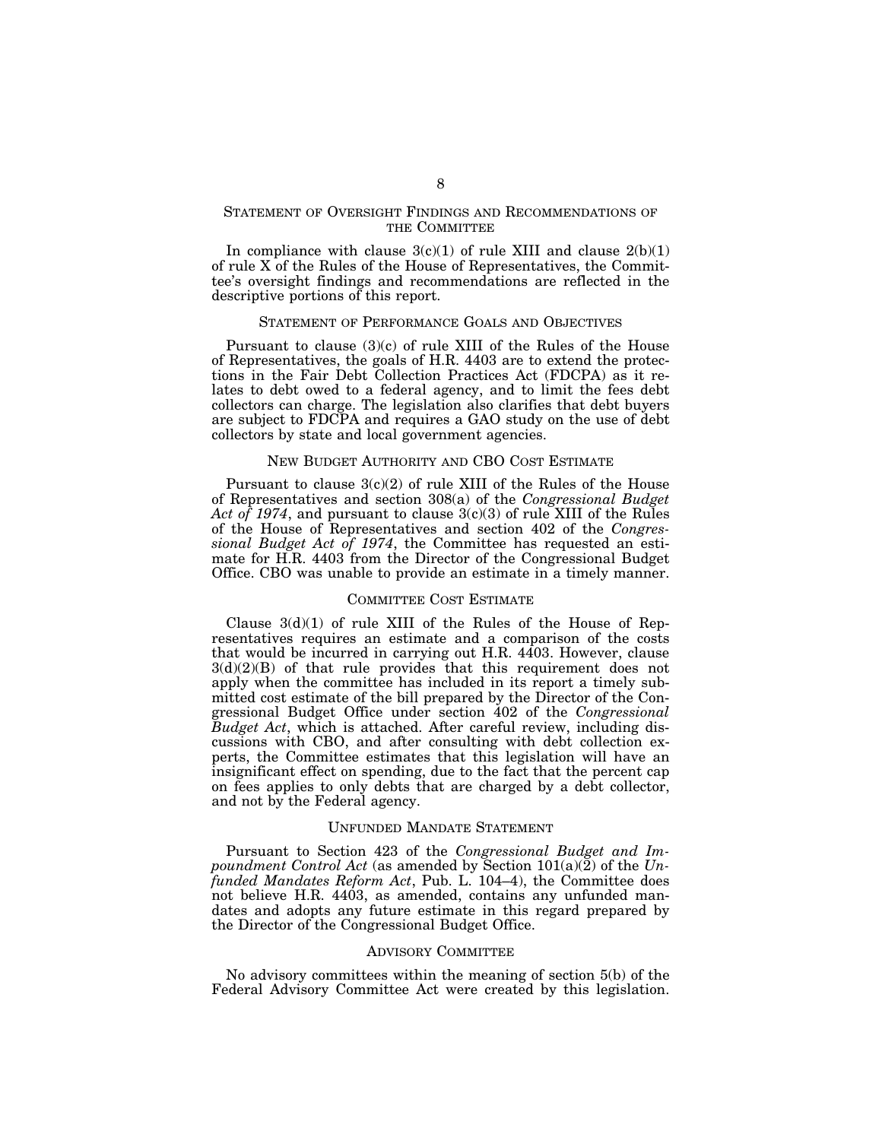## STATEMENT OF OVERSIGHT FINDINGS AND RECOMMENDATIONS OF THE COMMITTEE

In compliance with clause  $3(c)(1)$  of rule XIII and clause  $2(b)(1)$ of rule X of the Rules of the House of Representatives, the Committee's oversight findings and recommendations are reflected in the descriptive portions of this report.

### STATEMENT OF PERFORMANCE GOALS AND OBJECTIVES

Pursuant to clause (3)(c) of rule XIII of the Rules of the House of Representatives, the goals of H.R. 4403 are to extend the protections in the Fair Debt Collection Practices Act (FDCPA) as it relates to debt owed to a federal agency, and to limit the fees debt collectors can charge. The legislation also clarifies that debt buyers are subject to FDCPA and requires a GAO study on the use of debt collectors by state and local government agencies.

#### NEW BUDGET AUTHORITY AND CBO COST ESTIMATE

Pursuant to clause  $3(c)(2)$  of rule XIII of the Rules of the House of Representatives and section 308(a) of the *Congressional Budget Act of 1974*, and pursuant to clause  $3(c)(3)$  of rule XIII of the Rules of the House of Representatives and section 402 of the *Congressional Budget Act of 1974*, the Committee has requested an estimate for H.R. 4403 from the Director of the Congressional Budget Office. CBO was unable to provide an estimate in a timely manner.

#### COMMITTEE COST ESTIMATE

Clause  $3(d)(1)$  of rule XIII of the Rules of the House of Representatives requires an estimate and a comparison of the costs that would be incurred in carrying out H.R. 4403. However, clause  $3(d)(2)(B)$  of that rule provides that this requirement does not apply when the committee has included in its report a timely submitted cost estimate of the bill prepared by the Director of the Congressional Budget Office under section 402 of the *Congressional Budget Act*, which is attached. After careful review, including discussions with CBO, and after consulting with debt collection experts, the Committee estimates that this legislation will have an insignificant effect on spending, due to the fact that the percent cap on fees applies to only debts that are charged by a debt collector, and not by the Federal agency.

# UNFUNDED MANDATE STATEMENT

Pursuant to Section 423 of the *Congressional Budget and Impoundment Control Act* (as amended by Section 101(a)(2) of the *Unfunded Mandates Reform Act*, Pub. L. 104–4), the Committee does not believe H.R. 4403, as amended, contains any unfunded mandates and adopts any future estimate in this regard prepared by the Director of the Congressional Budget Office.

### ADVISORY COMMITTEE

No advisory committees within the meaning of section 5(b) of the Federal Advisory Committee Act were created by this legislation.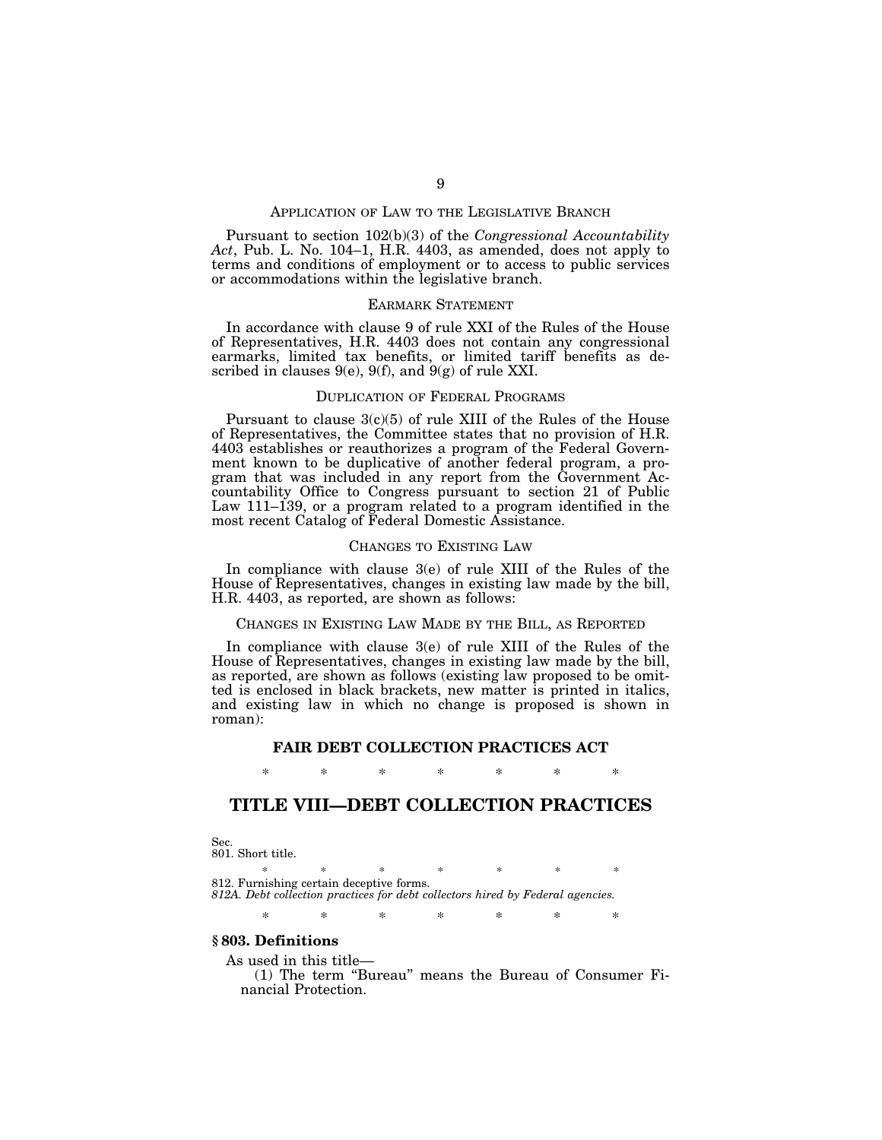### APPLICATION OF LAW TO THE LEGISLATIVE BRANCH

Pursuant to section 102(b)(3) of the *Congressional Accountability Act*, Pub. L. No. 104–1, H.R. 4403, as amended, does not apply to terms and conditions of employment or to access to public services or accommodations within the legislative branch.

#### EARMARK STATEMENT

In accordance with clause 9 of rule XXI of the Rules of the House of Representatives, H.R. 4403 does not contain any congressional earmarks, limited tax benefits, or limited tariff benefits as described in clauses  $9(e)$ ,  $9(f)$ , and  $9(g)$  of rule XXI.

### DUPLICATION OF FEDERAL PROGRAMS

Pursuant to clause 3(c)(5) of rule XIII of the Rules of the House of Representatives, the Committee states that no provision of H.R. 4403 establishes or reauthorizes a program of the Federal Government known to be duplicative of another federal program, a program that was included in any report from the Government Accountability Office to Congress pursuant to section 21 of Public Law 111–139, or a program related to a program identified in the most recent Catalog of Federal Domestic Assistance.

#### CHANGES TO EXISTING LAW

In compliance with clause 3(e) of rule XIII of the Rules of the House of Representatives, changes in existing law made by the bill, H.R. 4403, as reported, are shown as follows:

## CHANGES IN EXISTING LAW MADE BY THE BILL, AS REPORTED

In compliance with clause 3(e) of rule XIII of the Rules of the House of Representatives, changes in existing law made by the bill, as reported, are shown as follows (existing law proposed to be omitted is enclosed in black brackets, new matter is printed in italics, and existing law in which no change is proposed is shown in roman):

#### **FAIR DEBT COLLECTION PRACTICES ACT**

# \* \* \* \* \* \* \*

# **TITLE VIII—DEBT COLLECTION PRACTICES**

Sec. 801. Short title. \* \* \* \* \* \* \* 812. Furnishing certain deceptive forms. *812A. Debt collection practices for debt collectors hired by Federal agencies.*  \* \* \* \* \* \* \*

#### **§ 803. Definitions**

As used in this title— (1) The term ''Bureau'' means the Bureau of Consumer Financial Protection.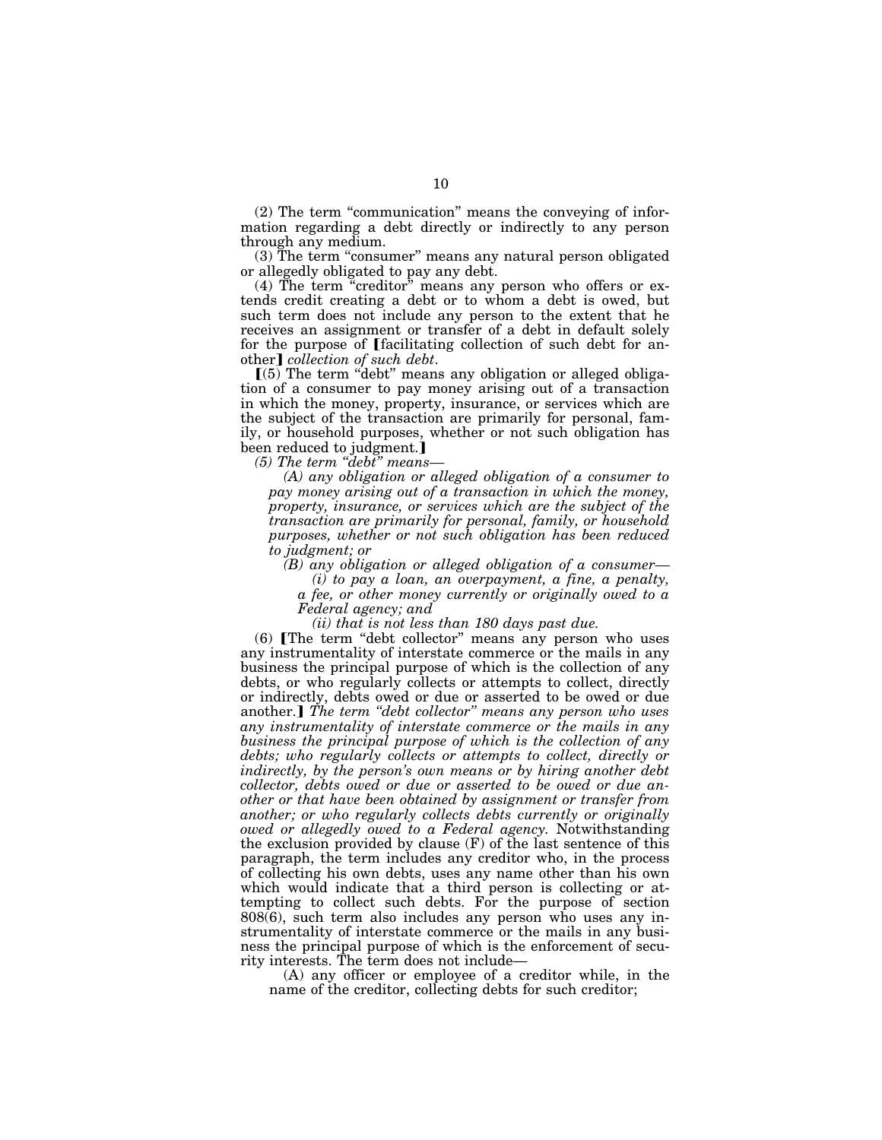(2) The term ''communication'' means the conveying of information regarding a debt directly or indirectly to any person through any medium.

(3) The term "consumer" means any natural person obligated or allegedly obligated to pay any debt.

(4) The term "creditor" means any person who offers or extends credit creating a debt or to whom a debt is owed, but such term does not include any person to the extent that he receives an assignment or transfer of a debt in default solely for the purpose of [facilitating collection of such debt for another] *collection* of such debt.

 $(5)$  The term "debt" means any obligation or alleged obligation of a consumer to pay money arising out of a transaction in which the money, property, insurance, or services which are the subject of the transaction are primarily for personal, family, or household purposes, whether or not such obligation has been reduced to judgment.

*(5) The term ''debt'' means—* 

*(A) any obligation or alleged obligation of a consumer to pay money arising out of a transaction in which the money, property, insurance, or services which are the subject of the transaction are primarily for personal, family, or household purposes, whether or not such obligation has been reduced to judgment; or* 

*(B) any obligation or alleged obligation of a consumer—* 

*(i) to pay a loan, an overpayment, a fine, a penalty, a fee, or other money currently or originally owed to a Federal agency; and* 

*(ii) that is not less than 180 days past due.* 

(6) The term "debt collector" means any person who uses any instrumentality of interstate commerce or the mails in any business the principal purpose of which is the collection of any debts, or who regularly collects or attempts to collect, directly or indirectly, debts owed or due or asserted to be owed or due another.] The term "debt collector" means any person who uses *any instrumentality of interstate commerce or the mails in any business the principal purpose of which is the collection of any debts; who regularly collects or attempts to collect, directly or indirectly, by the person's own means or by hiring another debt collector, debts owed or due or asserted to be owed or due another or that have been obtained by assignment or transfer from another; or who regularly collects debts currently or originally owed or allegedly owed to a Federal agency.* Notwithstanding the exclusion provided by clause (F) of the last sentence of this paragraph, the term includes any creditor who, in the process of collecting his own debts, uses any name other than his own which would indicate that a third person is collecting or attempting to collect such debts. For the purpose of section  $808(6)$ , such term also includes any person who uses any instrumentality of interstate commerce or the mails in any business the principal purpose of which is the enforcement of security interests. The term does not include—

(A) any officer or employee of a creditor while, in the name of the creditor, collecting debts for such creditor;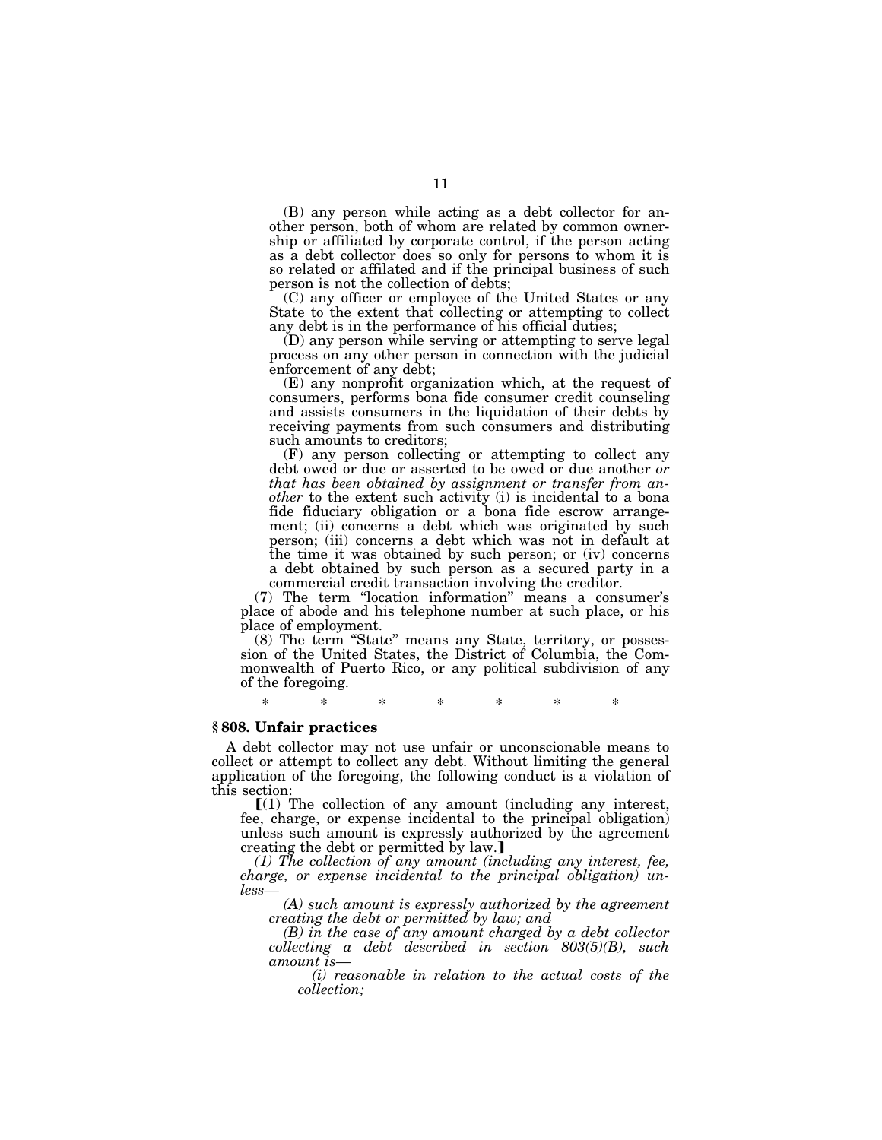(B) any person while acting as a debt collector for another person, both of whom are related by common ownership or affiliated by corporate control, if the person acting as a debt collector does so only for persons to whom it is so related or affilated and if the principal business of such person is not the collection of debts;

(C) any officer or employee of the United States or any State to the extent that collecting or attempting to collect any debt is in the performance of his official duties;

(D) any person while serving or attempting to serve legal process on any other person in connection with the judicial enforcement of any debt;

(E) any nonprofit organization which, at the request of consumers, performs bona fide consumer credit counseling and assists consumers in the liquidation of their debts by receiving payments from such consumers and distributing such amounts to creditors;

(F) any person collecting or attempting to collect any debt owed or due or asserted to be owed or due another *or that has been obtained by assignment or transfer from another* to the extent such activity (i) is incidental to a bona fide fiduciary obligation or a bona fide escrow arrangement; (ii) concerns a debt which was originated by such person; (iii) concerns a debt which was not in default at the time it was obtained by such person; or (iv) concerns a debt obtained by such person as a secured party in a commercial credit transaction involving the creditor.

(7) The term ''location information'' means a consumer's place of abode and his telephone number at such place, or his

place of employment.

(8) The term ''State'' means any State, territory, or possession of the United States, the District of Columbia, the Commonwealth of Puerto Rico, or any political subdivision of any of the foregoing.

\* \* \* \* \* \* \*

## **§ 808. Unfair practices**

A debt collector may not use unfair or unconscionable means to collect or attempt to collect any debt. Without limiting the general application of the foregoing, the following conduct is a violation of this section:

 $(1)$  The collection of any amount (including any interest, fee, charge, or expense incidental to the principal obligation) unless such amount is expressly authorized by the agreement creating the debt or permitted by law.]

*(1) The collection of any amount (including any interest, fee, charge, or expense incidental to the principal obligation) unless—* 

*(A) such amount is expressly authorized by the agreement creating the debt or permitted by law; and* 

*(B) in the case of any amount charged by a debt collector collecting a debt described in section 803(5)(B), such amount is—* 

*(i) reasonable in relation to the actual costs of the collection;*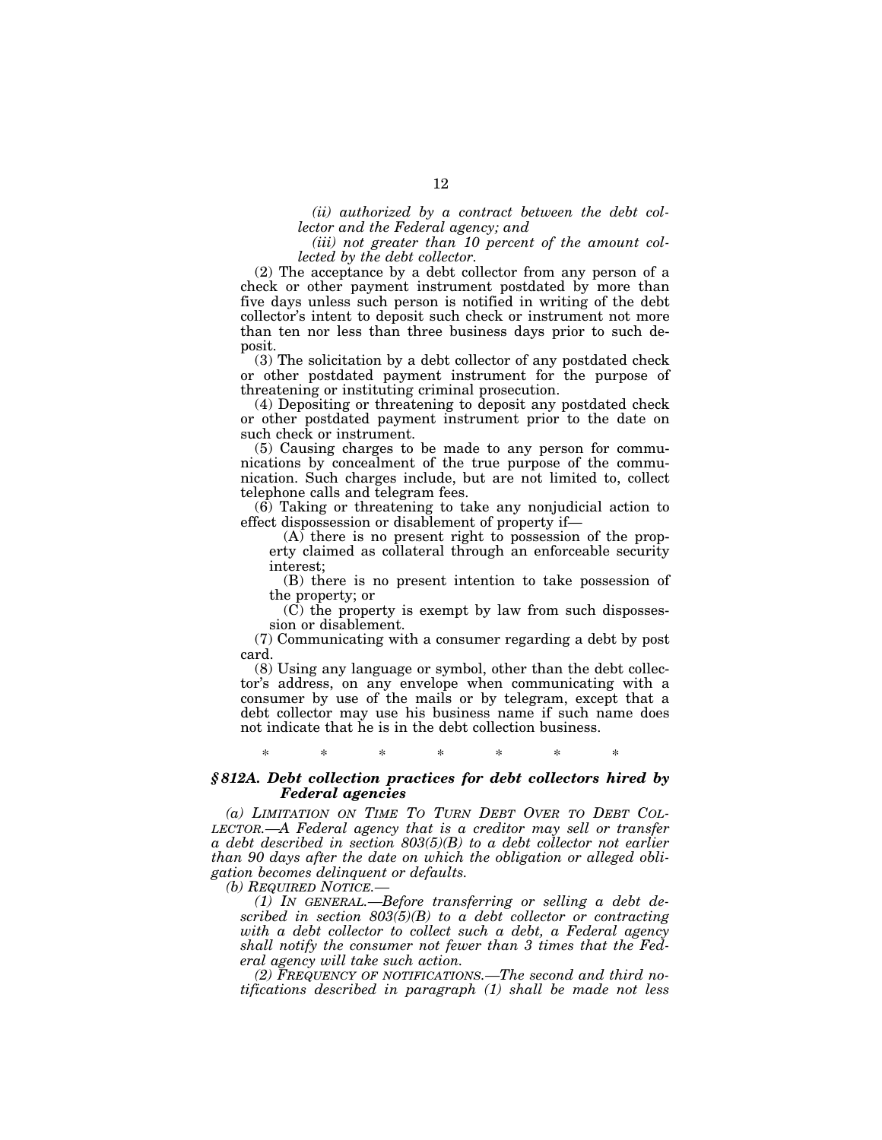*(ii) authorized by a contract between the debt collector and the Federal agency; and* 

*(iii) not greater than 10 percent of the amount collected by the debt collector.* 

(2) The acceptance by a debt collector from any person of a check or other payment instrument postdated by more than five days unless such person is notified in writing of the debt collector's intent to deposit such check or instrument not more than ten nor less than three business days prior to such deposit.

(3) The solicitation by a debt collector of any postdated check or other postdated payment instrument for the purpose of threatening or instituting criminal prosecution.

(4) Depositing or threatening to deposit any postdated check or other postdated payment instrument prior to the date on such check or instrument.

(5) Causing charges to be made to any person for communications by concealment of the true purpose of the communication. Such charges include, but are not limited to, collect telephone calls and telegram fees.

(6) Taking or threatening to take any nonjudicial action to effect dispossession or disablement of property if—

(A) there is no present right to possession of the property claimed as collateral through an enforceable security interest;

(B) there is no present intention to take possession of the property; or

(C) the property is exempt by law from such dispossession or disablement.

(7) Communicating with a consumer regarding a debt by post card.

(8) Using any language or symbol, other than the debt collector's address, on any envelope when communicating with a consumer by use of the mails or by telegram, except that a debt collector may use his business name if such name does not indicate that he is in the debt collection business.

*§ 812A. Debt collection practices for debt collectors hired by Federal agencies* 

\* \* \* \* \* \* \*

*(a) LIMITATION ON TIME TO TURN DEBT OVER TO DEBT COL-LECTOR.—A Federal agency that is a creditor may sell or transfer a debt described in section 803(5)(B) to a debt collector not earlier than 90 days after the date on which the obligation or alleged obligation becomes delinquent or defaults.* 

*(b) REQUIRED NOTICE.—* 

*(1) IN GENERAL.—Before transferring or selling a debt described in section 803(5)(B) to a debt collector or contracting with a debt collector to collect such a debt, a Federal agency shall notify the consumer not fewer than 3 times that the Federal agency will take such action.* 

*(2) FREQUENCY OF NOTIFICATIONS.—The second and third notifications described in paragraph (1) shall be made not less*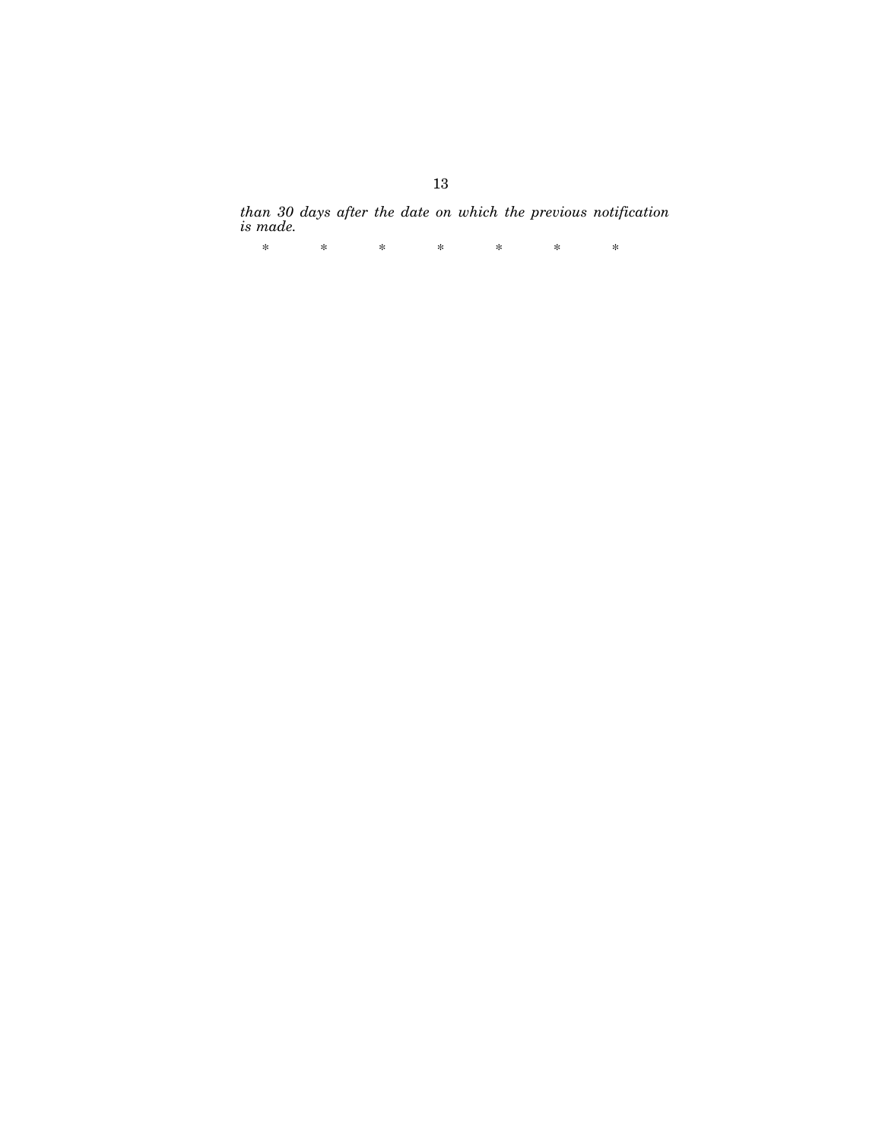*than 30 days after the date on which the previous notification is made.* 

\* \* \* \* \* \* \*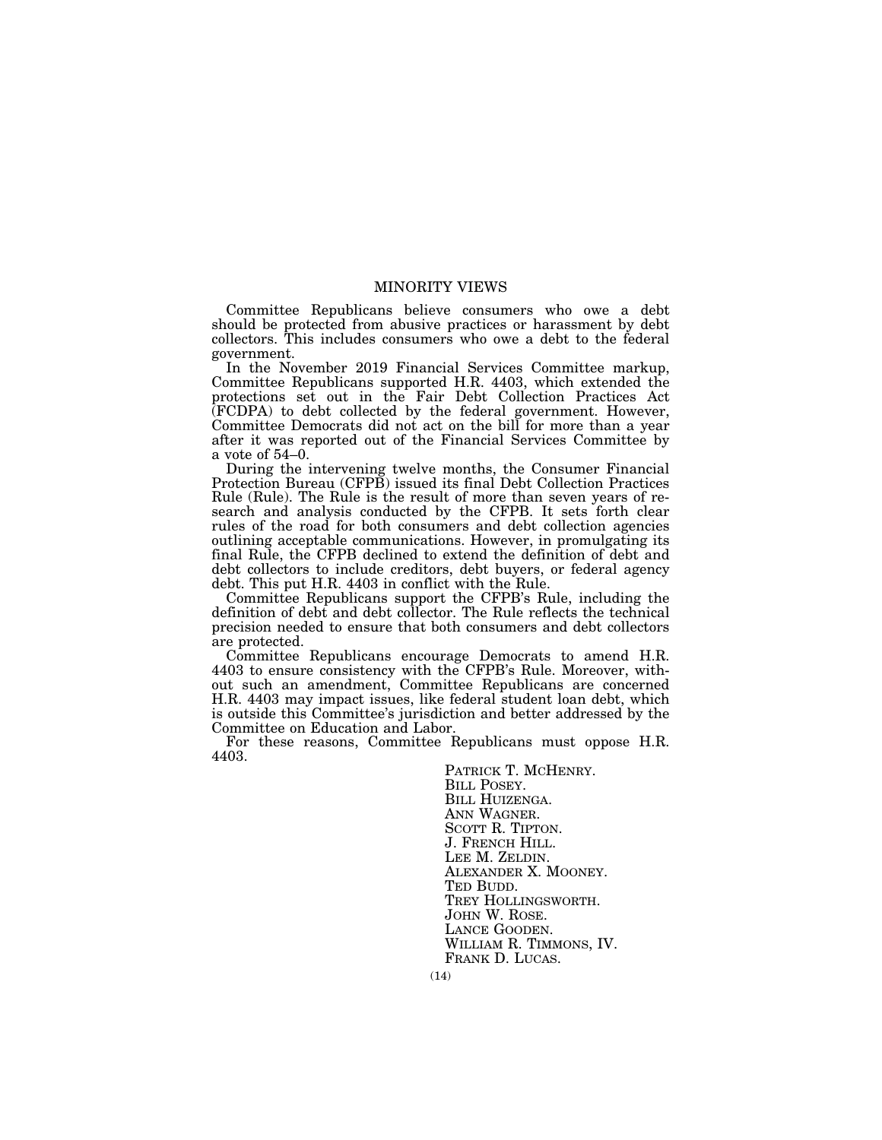# MINORITY VIEWS

Committee Republicans believe consumers who owe a debt should be protected from abusive practices or harassment by debt collectors. This includes consumers who owe a debt to the federal government.

In the November 2019 Financial Services Committee markup, Committee Republicans supported H.R. 4403, which extended the protections set out in the Fair Debt Collection Practices Act (FCDPA) to debt collected by the federal government. However, Committee Democrats did not act on the bill for more than a year after it was reported out of the Financial Services Committee by a vote of 54–0.

During the intervening twelve months, the Consumer Financial Protection Bureau (CFPB) issued its final Debt Collection Practices Rule (Rule). The Rule is the result of more than seven years of research and analysis conducted by the CFPB. It sets forth clear rules of the road for both consumers and debt collection agencies outlining acceptable communications. However, in promulgating its final Rule, the CFPB declined to extend the definition of debt and debt collectors to include creditors, debt buyers, or federal agency debt. This put H.R. 4403 in conflict with the Rule.

Committee Republicans support the CFPB's Rule, including the definition of debt and debt collector. The Rule reflects the technical precision needed to ensure that both consumers and debt collectors are protected.

Committee Republicans encourage Democrats to amend H.R. 4403 to ensure consistency with the CFPB's Rule. Moreover, without such an amendment, Committee Republicans are concerned H.R. 4403 may impact issues, like federal student loan debt, which is outside this Committee's jurisdiction and better addressed by the Committee on Education and Labor.

For these reasons, Committee Republicans must oppose H.R. 4403.

> PATRICK T. MCHENRY.<br>BILL HUIZENGA.<br>BILL HUIZENGA.<br>ANN WAGNER.<br>SCOTT R. TIPTON.<br>J. FRENCH HILL.<br>LEE M. ZELDIN.<br>ALEXANDER X. MOONEY.<br>TED BUDD.<br>TREY HOLLINGSWORTH.<br>JOHN W. ROSE. LANCE GOODEN. WILLIAM R. TIMMONS, IV. FRANK D. LUCAS.